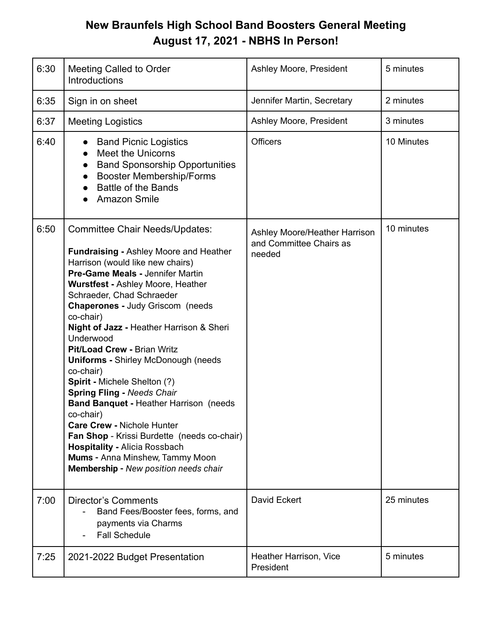## **New Braunfels High School Band Boosters General Meeting August 17, 2021 - NBHS In Person!**

| 6:30 | <b>Meeting Called to Order</b><br><b>Introductions</b>                                                                                                                                                                                                                                                                                                                                                                                                                                                                                                                                                                                                                                                                                                                                         | Ashley Moore, President                                            | 5 minutes  |
|------|------------------------------------------------------------------------------------------------------------------------------------------------------------------------------------------------------------------------------------------------------------------------------------------------------------------------------------------------------------------------------------------------------------------------------------------------------------------------------------------------------------------------------------------------------------------------------------------------------------------------------------------------------------------------------------------------------------------------------------------------------------------------------------------------|--------------------------------------------------------------------|------------|
| 6:35 | Sign in on sheet                                                                                                                                                                                                                                                                                                                                                                                                                                                                                                                                                                                                                                                                                                                                                                               | Jennifer Martin, Secretary                                         | 2 minutes  |
| 6:37 | <b>Meeting Logistics</b>                                                                                                                                                                                                                                                                                                                                                                                                                                                                                                                                                                                                                                                                                                                                                                       | Ashley Moore, President                                            | 3 minutes  |
| 6:40 | <b>Band Picnic Logistics</b><br>$\bullet$<br><b>Meet the Unicorns</b><br>$\bullet$<br><b>Band Sponsorship Opportunities</b><br>$\bullet$<br><b>Booster Membership/Forms</b><br>$\bullet$<br><b>Battle of the Bands</b><br><b>Amazon Smile</b>                                                                                                                                                                                                                                                                                                                                                                                                                                                                                                                                                  | <b>Officers</b>                                                    | 10 Minutes |
| 6:50 | <b>Committee Chair Needs/Updates:</b><br><b>Fundraising - Ashley Moore and Heather</b><br>Harrison (would like new chairs)<br>Pre-Game Meals - Jennifer Martin<br>Wurstfest - Ashley Moore, Heather<br>Schraeder, Chad Schraeder<br><b>Chaperones - Judy Griscom (needs)</b><br>co-chair)<br>Night of Jazz - Heather Harrison & Sheri<br>Underwood<br>Pit/Load Crew - Brian Writz<br><b>Uniforms - Shirley McDonough (needs</b><br>co-chair)<br>Spirit - Michele Shelton (?)<br><b>Spring Fling - Needs Chair</b><br><b>Band Banquet - Heather Harrison (needs</b><br>co-chair)<br><b>Care Crew - Nichole Hunter</b><br>Fan Shop - Krissi Burdette (needs co-chair)<br><b>Hospitality - Alicia Rossbach</b><br><b>Mums - Anna Minshew, Tammy Moon</b><br>Membership - New position needs chair | Ashley Moore/Heather Harrison<br>and Committee Chairs as<br>needed | 10 minutes |
| 7:00 | <b>Director's Comments</b><br>Band Fees/Booster fees, forms, and<br>payments via Charms<br><b>Fall Schedule</b>                                                                                                                                                                                                                                                                                                                                                                                                                                                                                                                                                                                                                                                                                | David Eckert                                                       | 25 minutes |
| 7:25 | 2021-2022 Budget Presentation                                                                                                                                                                                                                                                                                                                                                                                                                                                                                                                                                                                                                                                                                                                                                                  | Heather Harrison, Vice<br>President                                | 5 minutes  |